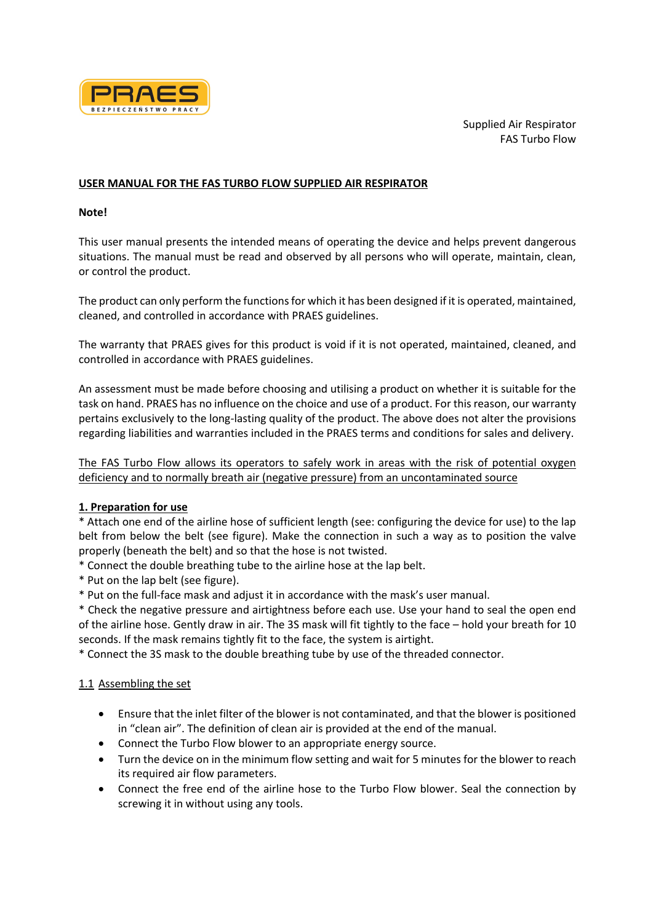

#### **USER MANUAL FOR THE FAS TURBO FLOW SUPPLIED AIR RESPIRATOR**

#### **Note!**

This user manual presents the intended means of operating the device and helps prevent dangerous situations. The manual must be read and observed by all persons who will operate, maintain, clean, or control the product.

The product can only perform the functions for which it has been designed if it is operated, maintained, cleaned, and controlled in accordance with PRAES guidelines.

The warranty that PRAES gives for this product is void if it is not operated, maintained, cleaned, and controlled in accordance with PRAES guidelines.

An assessment must be made before choosing and utilising a product on whether it is suitable for the task on hand. PRAES has no influence on the choice and use of a product. For this reason, our warranty pertains exclusively to the long-lasting quality of the product. The above does not alter the provisions regarding liabilities and warranties included in the PRAES terms and conditions for sales and delivery.

The FAS Turbo Flow allows its operators to safely work in areas with the risk of potential oxygen deficiency and to normally breath air (negative pressure) from an uncontaminated source

### **1. Preparation for use**

\* Attach one end of the airline hose of sufficient length (see: configuring the device for use) to the lap belt from below the belt (see figure). Make the connection in such a way as to position the valve properly (beneath the belt) and so that the hose is not twisted.

\* Connect the double breathing tube to the airline hose at the lap belt.

\* Put on the lap belt (see figure).

\* Put on the full-face mask and adjust it in accordance with the mask's user manual.

\* Check the negative pressure and airtightness before each use. Use your hand to seal the open end of the airline hose. Gently draw in air. The 3S mask will fit tightly to the face – hold your breath for 10 seconds. If the mask remains tightly fit to the face, the system is airtight.

\* Connect the 3S mask to the double breathing tube by use of the threaded connector.

### 1.1 Assembling the set

- Ensure that the inlet filter of the blower is not contaminated, and that the blower is positioned in "clean air". The definition of clean air is provided at the end of the manual.
- Connect the Turbo Flow blower to an appropriate energy source.
- Turn the device on in the minimum flow setting and wait for 5 minutes for the blower to reach its required air flow parameters.
- Connect the free end of the airline hose to the Turbo Flow blower. Seal the connection by screwing it in without using any tools.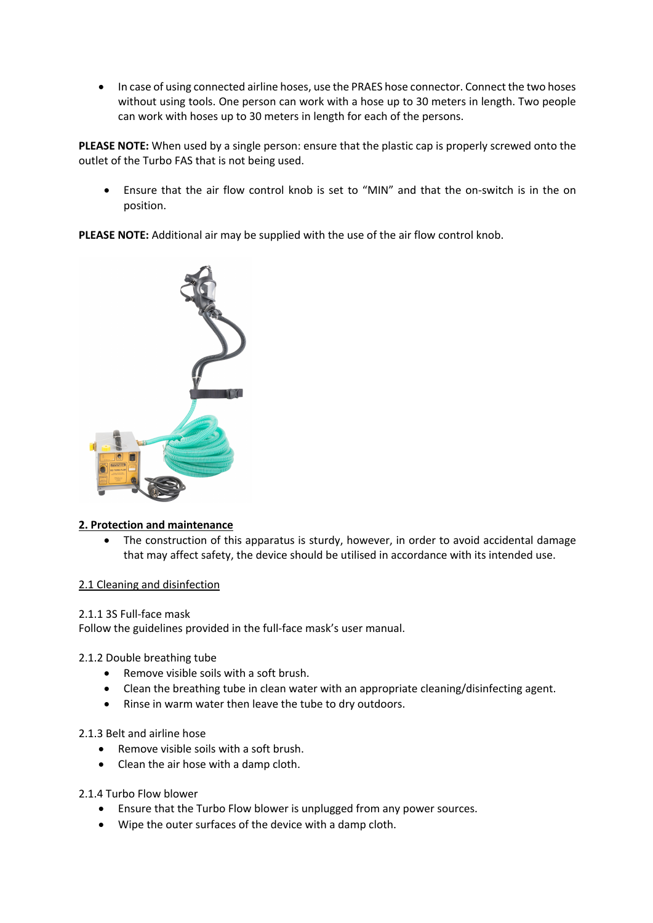• In case of using connected airline hoses, use the PRAES hose connector. Connect the two hoses without using tools. One person can work with a hose up to 30 meters in length. Two people can work with hoses up to 30 meters in length for each of the persons.

**PLEASE NOTE:** When used by a single person: ensure that the plastic cap is properly screwed onto the outlet of the Turbo FAS that is not being used.

• Ensure that the air flow control knob is set to "MIN" and that the on-switch is in the on position.

**PLEASE NOTE:** Additional air may be supplied with the use of the air flow control knob.



# **2. Protection and maintenance**

• The construction of this apparatus is sturdy, however, in order to avoid accidental damage that may affect safety, the device should be utilised in accordance with its intended use.

# 2.1 Cleaning and disinfection

### 2.1.1 3S Full-face mask

Follow the guidelines provided in the full-face mask's user manual.

### 2.1.2 Double breathing tube

- Remove visible soils with a soft brush.
- Clean the breathing tube in clean water with an appropriate cleaning/disinfecting agent.
- Rinse in warm water then leave the tube to dry outdoors.

### 2.1.3 Belt and airline hose

- Remove visible soils with a soft brush.
- Clean the air hose with a damp cloth.
- 2.1.4 Turbo Flow blower
	- Ensure that the Turbo Flow blower is unplugged from any power sources.
	- Wipe the outer surfaces of the device with a damp cloth.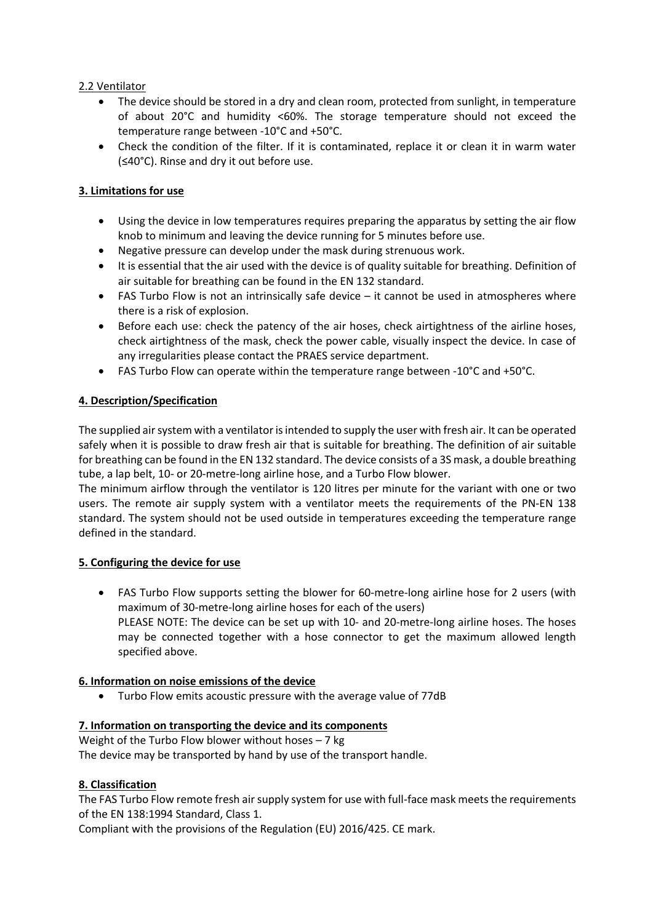### 2.2 Ventilator

- The device should be stored in a dry and clean room, protected from sunlight, in temperature of about 20°C and humidity <60%. The storage temperature should not exceed the temperature range between -10°C and +50°C.
- Check the condition of the filter. If it is contaminated, replace it or clean it in warm water (≤40°C). Rinse and dry it out before use.

# **3. Limitations for use**

- Using the device in low temperatures requires preparing the apparatus by setting the air flow knob to minimum and leaving the device running for 5 minutes before use.
- Negative pressure can develop under the mask during strenuous work.
- It is essential that the air used with the device is of quality suitable for breathing. Definition of air suitable for breathing can be found in the EN 132 standard.
- FAS Turbo Flow is not an intrinsically safe device it cannot be used in atmospheres where there is a risk of explosion.
- Before each use: check the patency of the air hoses, check airtightness of the airline hoses, check airtightness of the mask, check the power cable, visually inspect the device. In case of any irregularities please contact the PRAES service department.
- FAS Turbo Flow can operate within the temperature range between -10°C and +50°C.

# **4. Description/Specification**

The supplied air system with a ventilator is intended to supply the user with fresh air. It can be operated safely when it is possible to draw fresh air that is suitable for breathing. The definition of air suitable for breathing can be found in the EN 132 standard. The device consists of a 3S mask, a double breathing tube, a lap belt, 10- or 20-metre-long airline hose, and a Turbo Flow blower.

The minimum airflow through the ventilator is 120 litres per minute for the variant with one or two users. The remote air supply system with a ventilator meets the requirements of the PN-EN 138 standard. The system should not be used outside in temperatures exceeding the temperature range defined in the standard.

### **5. Configuring the device for use**

• FAS Turbo Flow supports setting the blower for 60-metre-long airline hose for 2 users (with maximum of 30-metre-long airline hoses for each of the users) PLEASE NOTE: The device can be set up with 10- and 20-metre-long airline hoses. The hoses may be connected together with a hose connector to get the maximum allowed length specified above.

# **6. Information on noise emissions of the device**

• Turbo Flow emits acoustic pressure with the average value of 77dB

# **7. Information on transporting the device and its components**

Weight of the Turbo Flow blower without hoses – 7 kg The device may be transported by hand by use of the transport handle.

# **8. Classification**

The FAS Turbo Flow remote fresh air supply system for use with full-face mask meets the requirements of the EN 138:1994 Standard, Class 1.

Compliant with the provisions of the Regulation (EU) 2016/425. CE mark.